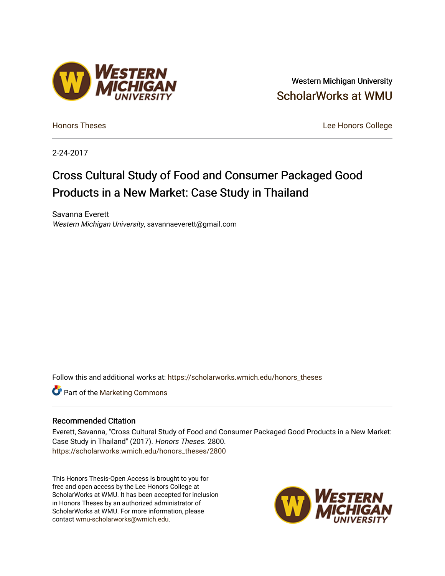## Western Michigan University [ScholarWorks at WMU](https://scholarworks.wmich.edu/)

[Honors Theses](https://scholarworks.wmich.edu/honors_theses) [Lee Honors College](https://scholarworks.wmich.edu/honors) 

2-24-2017

## Cross Cultural Study of Food and Consumer Packaged Good Products in a New Market: Case Study in Thailand

Savanna Everett Western Michigan University, savannaeverett@gmail.com

Follow this and additional works at: [https://scholarworks.wmich.edu/honors\\_theses](https://scholarworks.wmich.edu/honors_theses?utm_source=scholarworks.wmich.edu%2Fhonors_theses%2F2800&utm_medium=PDF&utm_campaign=PDFCoverPages)

**C** Part of the [Marketing Commons](http://network.bepress.com/hgg/discipline/638?utm_source=scholarworks.wmich.edu%2Fhonors_theses%2F2800&utm_medium=PDF&utm_campaign=PDFCoverPages)

#### Recommended Citation

Everett, Savanna, "Cross Cultural Study of Food and Consumer Packaged Good Products in a New Market: Case Study in Thailand" (2017). Honors Theses. 2800. [https://scholarworks.wmich.edu/honors\\_theses/2800](https://scholarworks.wmich.edu/honors_theses/2800?utm_source=scholarworks.wmich.edu%2Fhonors_theses%2F2800&utm_medium=PDF&utm_campaign=PDFCoverPages) 

This Honors Thesis-Open Access is brought to you for free and open access by the Lee Honors College at ScholarWorks at WMU. It has been accepted for inclusion in Honors Theses by an authorized administrator of ScholarWorks at WMU. For more information, please contact [wmu-scholarworks@wmich.edu](mailto:wmu-scholarworks@wmich.edu).



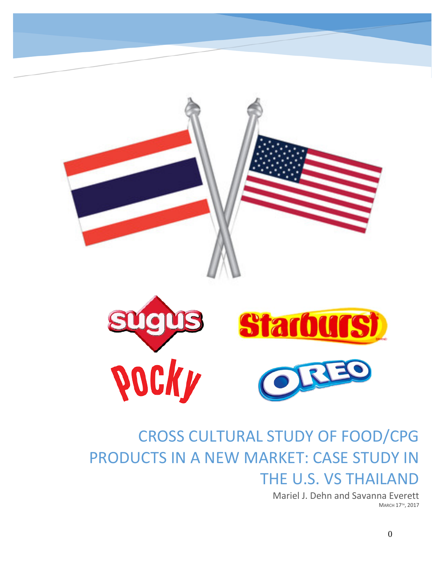

# CROSS CULTURAL STUDY OF FOOD/CPG PRODUCTS IN A NEW MARKET: CASE STUDY IN THE U.S. VS THAILAND

Mariel J. Dehn and Savanna Everett MARCH 17TH, 2017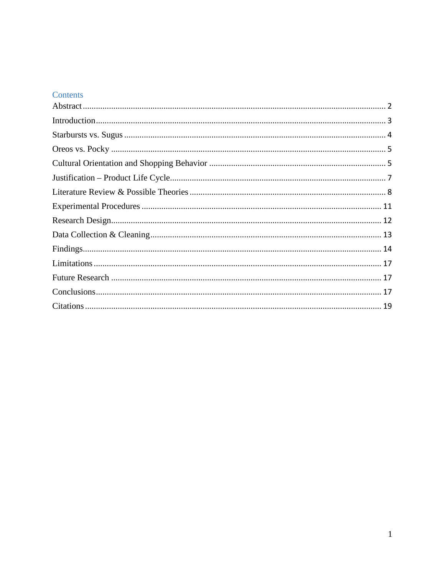## Contents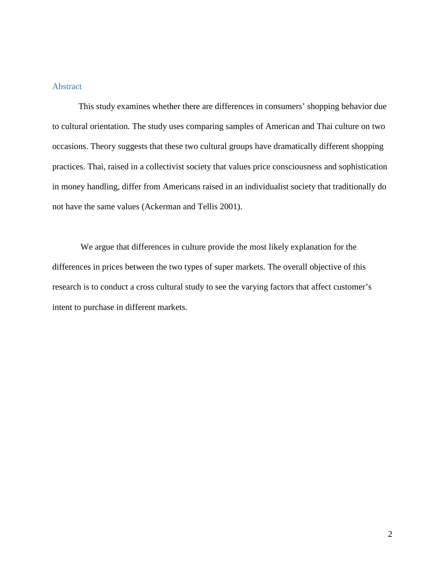#### <span id="page-3-0"></span>Abstract

This study examines whether there are differences in consumers' shopping behavior due to cultural orientation. The study uses comparing samples of American and Thai culture on two occasions. Theory suggests that these two cultural groups have dramatically different shopping practices. Thai, raised in a collectivist society that values price consciousness and sophistication in money handling, differ from Americans raised in an individualist society that traditionally do not have the same values (Ackerman and Tellis 2001).

We argue that differences in culture provide the most likely explanation for the differences in prices between the two types of super markets. The overall objective of this research is to conduct a cross cultural study to see the varying factors that affect customer's intent to purchase in different markets.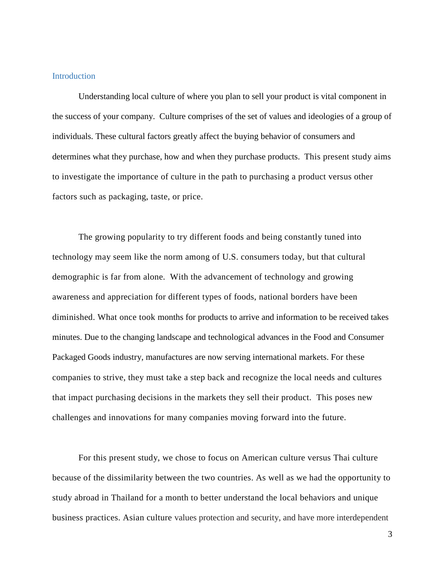#### <span id="page-4-0"></span>Introduction

Understanding local culture of where you plan to sell your product is vital component in the success of your company. Culture comprises of the set of values and ideologies of a group of individuals. These cultural factors greatly affect the buying behavior of consumers and determines what they purchase, how and when they purchase products. This present study aims to investigate the importance of culture in the path to purchasing a product versus other factors such as packaging, taste, or price.

The growing popularity to try different foods and being constantly tuned into technology may seem like the norm among of U.S. consumers today, but that cultural demographic is far from alone. With the advancement of technology and growing awareness and appreciation for different types of foods, national borders have been diminished. What once took months for products to arrive and information to be received takes minutes. Due to the changing landscape and technological advances in the Food and Consumer Packaged Goods industry, manufactures are now serving international markets. For these companies to strive, they must take a step back and recognize the local needs and cultures that impact purchasing decisions in the markets they sell their product. This poses new challenges and innovations for many companies moving forward into the future.

For this present study, we chose to focus on American culture versus Thai culture because of the dissimilarity between the two countries. As well as we had the opportunity to study abroad in Thailand for a month to better understand the local behaviors and unique business practices. Asian culture values protection and security, and have more interdependent

3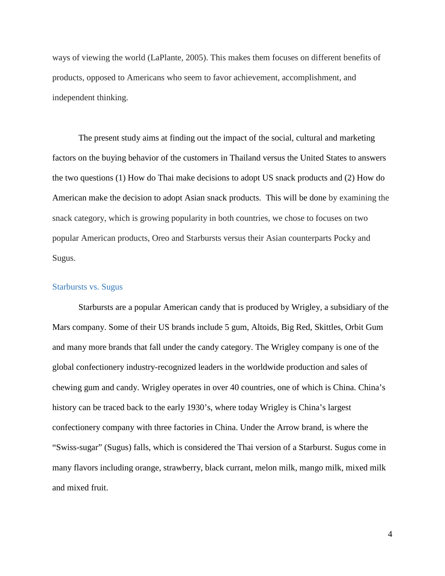ways of viewing the world (LaPlante, 2005). This makes them focuses on different benefits of products, opposed to Americans who seem to favor achievement, accomplishment, and independent thinking.

The present study aims at finding out the impact of the social, cultural and marketing factors on the buying behavior of the customers in Thailand versus the United States to answers the two questions (1) How do Thai make decisions to adopt US snack products and (2) How do American make the decision to adopt Asian snack products. This will be done by examining the snack category, which is growing popularity in both countries, we chose to focuses on two popular American products, Oreo and Starbursts versus their Asian counterparts Pocky and Sugus.

#### <span id="page-5-0"></span>Starbursts vs. Sugus

Starbursts are a popular American candy that is produced by Wrigley, a subsidiary of the Mars company. Some of their US brands include 5 gum, Altoids, Big Red, Skittles, Orbit Gum and many more brands that fall under the candy category. The Wrigley company is one of the global confectionery industry-recognized leaders in the worldwide production and sales of chewing gum and candy. Wrigley operates in over 40 countries, one of which is China. China's history can be traced back to the early 1930's, where today Wrigley is China's largest confectionery company with three factories in China. Under the Arrow brand, is where the "Swiss-sugar" (Sugus) falls, which is considered the Thai version of a Starburst. Sugus come in many flavors including orange, strawberry, black currant, melon milk, mango milk, mixed milk and mixed fruit.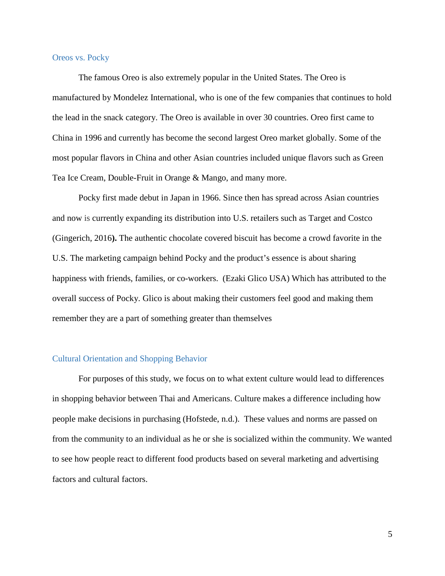#### <span id="page-6-0"></span>Oreos vs. Pocky

The famous Oreo is also extremely popular in the United States. The Oreo is manufactured by Mondelez International, who is one of the few companies that continues to hold the lead in the snack category. The Oreo is available in over 30 countries. Oreo first came to China in 1996 and currently has become the second largest Oreo market globally. Some of the most popular flavors in China and other Asian countries included unique flavors such as Green Tea Ice Cream, Double-Fruit in Orange & Mango, and many more.

Pocky first made debut in Japan in 1966. Since then has spread across Asian countries and now is currently expanding its distribution into U.S. retailers such as Target and Costco (Gingerich, 2016**).** The authentic chocolate covered biscuit has become a crowd favorite in the U.S. The marketing campaign behind Pocky and the product's essence is about sharing happiness with friends, families, or co-workers. (Ezaki Glico USA) Which has attributed to the overall success of Pocky. Glico is about making their customers feel good and making them remember they are a part of something greater than themselves

#### <span id="page-6-1"></span>Cultural Orientation and Shopping Behavior

For purposes of this study, we focus on to what extent culture would lead to differences in shopping behavior between Thai and Americans. Culture makes a difference including how people make decisions in purchasing (Hofstede, n.d.). These values and norms are passed on from the community to an individual as he or she is socialized within the community. We wanted to see how people react to different food products based on several marketing and advertising factors and cultural factors.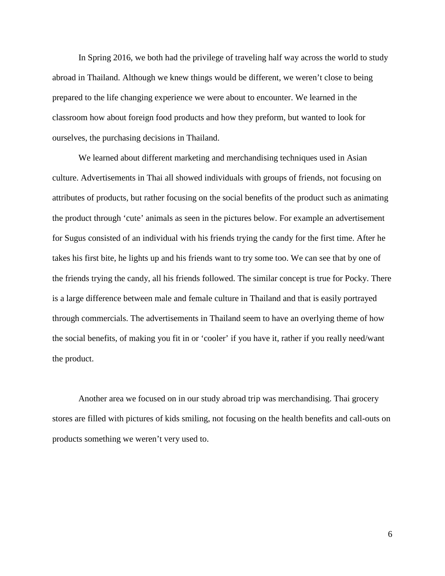In Spring 2016, we both had the privilege of traveling half way across the world to study abroad in Thailand. Although we knew things would be different, we weren't close to being prepared to the life changing experience we were about to encounter. We learned in the classroom how about foreign food products and how they preform, but wanted to look for ourselves, the purchasing decisions in Thailand.

We learned about different marketing and merchandising techniques used in Asian culture. Advertisements in Thai all showed individuals with groups of friends, not focusing on attributes of products, but rather focusing on the social benefits of the product such as animating the product through 'cute' animals as seen in the pictures below. For example an advertisement for Sugus consisted of an individual with his friends trying the candy for the first time. After he takes his first bite, he lights up and his friends want to try some too. We can see that by one of the friends trying the candy, all his friends followed. The similar concept is true for Pocky. There is a large difference between male and female culture in Thailand and that is easily portrayed through commercials. The advertisements in Thailand seem to have an overlying theme of how the social benefits, of making you fit in or 'cooler' if you have it, rather if you really need/want the product.

Another area we focused on in our study abroad trip was merchandising. Thai grocery stores are filled with pictures of kids smiling, not focusing on the health benefits and call-outs on products something we weren't very used to.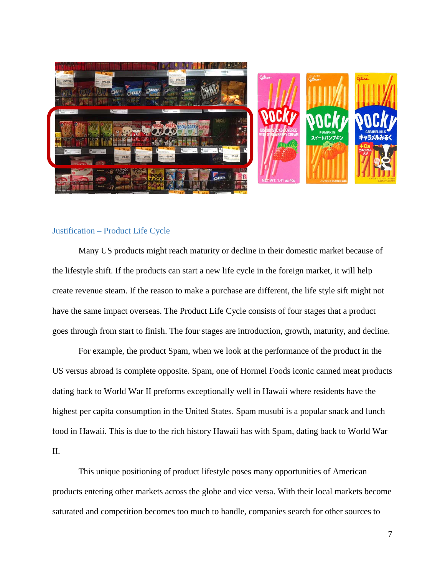![](_page_8_Picture_0.jpeg)

#### <span id="page-8-0"></span>Justification – Product Life Cycle

Many US products might reach maturity or decline in their domestic market because of the lifestyle shift. If the products can start a new life cycle in the foreign market, it will help create revenue steam. If the reason to make a purchase are different, the life style sift might not have the same impact overseas. The Product Life Cycle consists of four stages that a product goes through from start to finish. The four stages are introduction, growth, maturity, and decline.

For example, the product Spam, when we look at the performance of the product in the US versus abroad is complete opposite. Spam, one of Hormel Foods iconic canned meat products dating back to World War II preforms exceptionally well in Hawaii where residents have the highest per capita consumption in the United States. Spam musubi is a popular snack and lunch food in Hawaii. This is due to the rich history Hawaii has with Spam, dating back to World War II.

This unique positioning of product lifestyle poses many opportunities of American products entering other markets across the globe and vice versa. With their local markets become saturated and competition becomes too much to handle, companies search for other sources to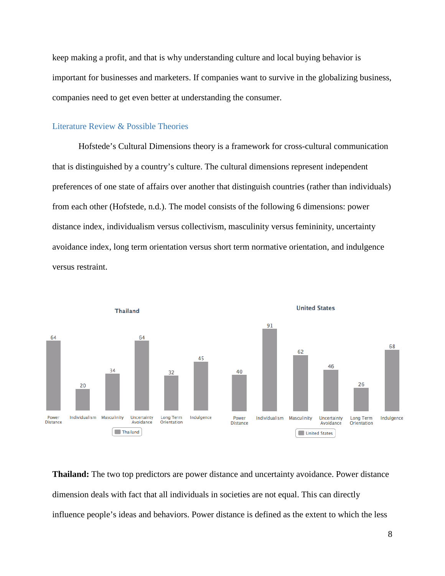keep making a profit, and that is why understanding culture and local buying behavior is important for businesses and marketers. If companies want to survive in the globalizing business, companies need to get even better at understanding the consumer.

#### <span id="page-9-0"></span>Literature Review & Possible Theories

Hofstede's Cultural Dimensions theory is a framework for cross-cultural communication that is distinguished by a country's culture. The cultural dimensions represent independent preferences of one state of affairs over another that distinguish countries (rather than individuals) from each other (Hofstede, n.d.). The model consists of the following 6 dimensions: power distance index, individualism versus collectivism, masculinity versus femininity, uncertainty avoidance index, long term orientation versus short term normative orientation, and indulgence versus restraint.

![](_page_9_Figure_3.jpeg)

**Thailand:** The two top predictors are power distance and uncertainty avoidance. Power distance dimension deals with fact that all individuals in societies are not equal. This can directly influence people's ideas and behaviors. Power distance is defined as the extent to which the less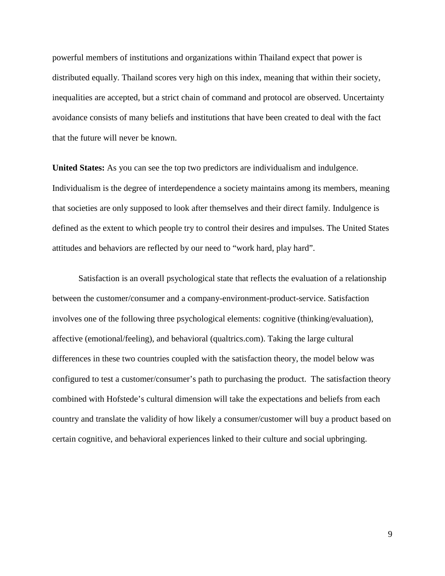powerful members of institutions and organizations within Thailand expect that power is distributed equally. Thailand scores very high on this index, meaning that within their society, inequalities are accepted, but a strict chain of command and protocol are observed. Uncertainty avoidance consists of many beliefs and institutions that have been created to deal with the fact that the future will never be known.

**United States:** As you can see the top two predictors are individualism and indulgence. Individualism is the degree of interdependence a society maintains among its members, meaning that societies are only supposed to look after themselves and their direct family. Indulgence is defined as the extent to which people try to control their desires and impulses. The United States attitudes and behaviors are reflected by our need to "work hard, play hard".

Satisfaction is an overall psychological state that reflects the evaluation of a relationship between the customer/consumer and a company-environment-product-service. Satisfaction involves one of the following three psychological elements: cognitive (thinking/evaluation), affective (emotional/feeling), and behavioral (qualtrics.com). Taking the large cultural differences in these two countries coupled with the satisfaction theory, the model below was configured to test a customer/consumer's path to purchasing the product. The satisfaction theory combined with Hofstede's cultural dimension will take the expectations and beliefs from each country and translate the validity of how likely a consumer/customer will buy a product based on certain cognitive, and behavioral experiences linked to their culture and social upbringing.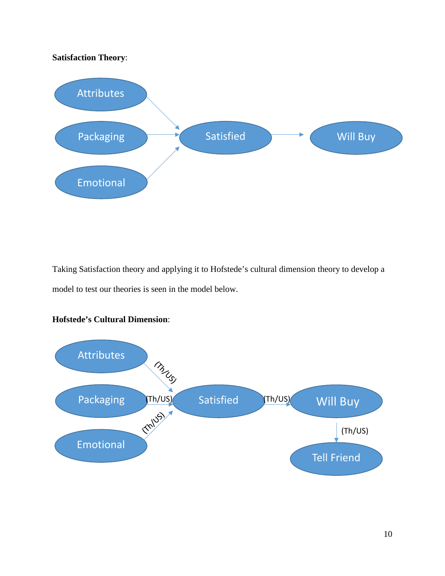## **Satisfaction Theory**:

![](_page_11_Figure_1.jpeg)

Taking Satisfaction theory and applying it to Hofstede's cultural dimension theory to develop a model to test our theories is seen in the model below.

![](_page_11_Figure_3.jpeg)

## **Hofstede's Cultural Dimension**: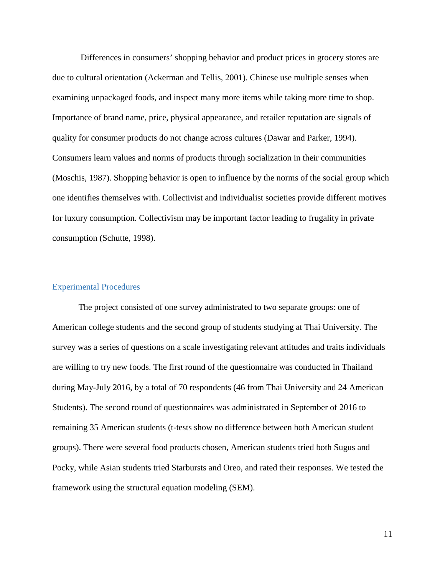Differences in consumers' shopping behavior and product prices in grocery stores are due to cultural orientation (Ackerman and Tellis, 2001). Chinese use multiple senses when examining unpackaged foods, and inspect many more items while taking more time to shop. Importance of brand name, price, physical appearance, and retailer reputation are signals of quality for consumer products do not change across cultures (Dawar and Parker, 1994). Consumers learn values and norms of products through socialization in their communities (Moschis, 1987). Shopping behavior is open to influence by the norms of the social group which one identifies themselves with. Collectivist and individualist societies provide different motives for luxury consumption. Collectivism may be important factor leading to frugality in private consumption (Schutte, 1998).

#### <span id="page-12-0"></span>Experimental Procedures

The project consisted of one survey administrated to two separate groups: one of American college students and the second group of students studying at Thai University. The survey was a series of questions on a scale investigating relevant attitudes and traits individuals are willing to try new foods. The first round of the questionnaire was conducted in Thailand during May-July 2016, by a total of 70 respondents (46 from Thai University and 24 American Students). The second round of questionnaires was administrated in September of 2016 to remaining 35 American students (t-tests show no difference between both American student groups). There were several food products chosen, American students tried both Sugus and Pocky, while Asian students tried Starbursts and Oreo, and rated their responses. We tested the framework using the structural equation modeling (SEM).

11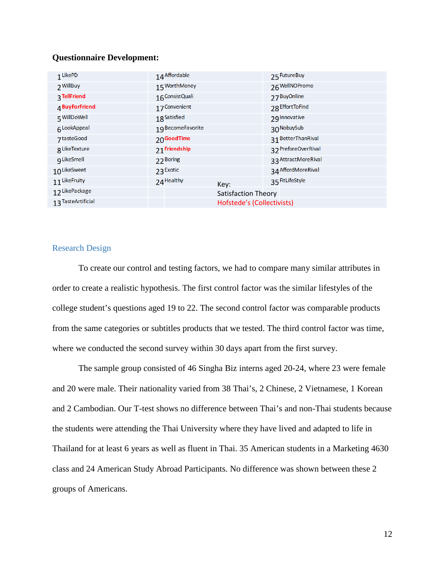#### **Questionnaire Development:**

| 1 LikePD           | 14 Affordable           |                            | 25 Future Buy       |  |  |
|--------------------|-------------------------|----------------------------|---------------------|--|--|
| 2 WillBuy          | 15 WorthMoney           |                            | 26 WellNOPromo      |  |  |
| 3 TellFriend       | 16 Consist Quali        |                            | 27 BuyOnline        |  |  |
| 4BuyForFriend      | 17 Convenient           |                            | 28 Effort To Find   |  |  |
| 5 WillDoWell       | 18 <sup>Satisfied</sup> |                            | 29 Innovative       |  |  |
| 6LookAppeal        | 19 Become Favorite      |                            | 30 NobuySub         |  |  |
| 7tasteGood         | 20 Good Time            |                            | 31 BetterThanRival  |  |  |
| g LikeTexture      | 21 Friendship           |                            | 32 PreforeOverRival |  |  |
| g LikeSmell        | 22 Boring               |                            | 33 AttractMoreRival |  |  |
| 10LikeSweet        | 23 Exotic               |                            | 34 AffordMoreRival  |  |  |
| 11 LikeFruity      | 24 Healthy              | Key:                       | 35 FitLifeStyle     |  |  |
| 12 LikePackage     |                         | Satisfaction Theory        |                     |  |  |
| 13 TasteArtificial |                         | Hofstede's (Collectivists) |                     |  |  |

#### <span id="page-13-0"></span>Research Design

To create our control and testing factors, we had to compare many similar attributes in order to create a realistic hypothesis. The first control factor was the similar lifestyles of the college student's questions aged 19 to 22. The second control factor was comparable products from the same categories or subtitles products that we tested. The third control factor was time, where we conducted the second survey within 30 days apart from the first survey.

The sample group consisted of 46 Singha Biz interns aged 20-24, where 23 were female and 20 were male. Their nationality varied from 38 Thai's, 2 Chinese, 2 Vietnamese, 1 Korean and 2 Cambodian. Our T-test shows no difference between Thai's and non-Thai students because the students were attending the Thai University where they have lived and adapted to life in Thailand for at least 6 years as well as fluent in Thai. 35 American students in a Marketing 4630 class and 24 American Study Abroad Participants. No difference was shown between these 2 groups of Americans.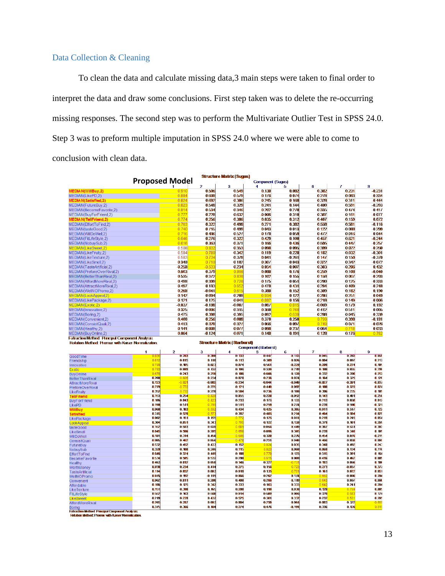## <span id="page-14-0"></span>Data Collection & Cleaning

To clean the data and calculate missing data,3 main steps were taken to final order to interpret the data and draw some conclusions. First step taken was to delete the re-occurring missing responses. The second step was to perform the Multivariate Outlier Test in SPSS 24.0. Step 3 was to preform multiple imputation in SPSS 24.0 where we were able to come to conclusion with clean data.

|                                                                                                               |                       |                 |                         | Structure Matrix (Sugus)     |                       |                    |                   |                   |                      |
|---------------------------------------------------------------------------------------------------------------|-----------------------|-----------------|-------------------------|------------------------------|-----------------------|--------------------|-------------------|-------------------|----------------------|
|                                                                                                               | <b>Proposed Model</b> |                 |                         |                              | Corriponent (Sugus)   |                    |                   |                   |                      |
|                                                                                                               |                       |                 | $\overline{2}$<br>0.506 | з<br>0.549                   | 4<br>0.138            | д<br>0.082         | 6<br>0.382        | 7<br>0.231        | я<br>0.231           |
| /0EDIA N(WillBuy,2                                                                                            |                       | 0.91<br>0.88    |                         |                              |                       | 0.074              |                   | 0.083             | 0.334                |
| MEDIAN(LikePD,2)<br>EDIA Ní Satisfied.                                                                        |                       | 0.82            | 0.608<br>0.692          | 0.579<br>0.386               | 0.176<br>0.245        | 0.168              | 0.278<br>0.328    | 0.311             | $-0.444$             |
| MEDIAN(FutureBuy,2)                                                                                           |                       | 0.82            | 0.548                   | 0.329                        | 0.241                 | 0.144              | 0.480             | 0.591             | 0.203                |
| MEDIAN(BecomeFavorite,2)                                                                                      |                       | 0.81            | 0.534                   | 0.346                        | 0.202                 | 0.270              | 0.335             | 0.474             | 0.417                |
| MEDIAN(BuyForFriend,2)                                                                                        |                       | 0.77            | 0.228                   | 0.632                        | $-0.006$              | 0.310              | 0.387             | 0.161             | $-0.077$             |
| <b>MEDIAN</b> (Tell Friend, 2)                                                                                |                       | 0.77            | 0.256                   | 0.386                        | 0.035                 | 0.312              | 0.407             | 0.159             | 0.072                |
| MEDIAN(EffortToFind,2)                                                                                        |                       | 0.76            | 0.322                   | 0.499                        | 0.271                 | 0.382              | 0.558             | 0.581             | 0.116                |
| MEDIAN(tasteGood,2)                                                                                           |                       | 0.74            | 0.715                   | 0.499                        | 0.043                 | 0.013              | 0.122             | $-0.088$          | $-0.299$             |
| MEDIAN(WillDoWell,2)                                                                                          |                       | 0.71            | 0.486                   | 0.527                        | 0.178                 | 0.059              | 0.472             | 0.016             | 0.044                |
| MEDIAN(FitLifeStyle,2)                                                                                        |                       | 0.646           | 0.276                   | 0.322                        | 0.429                 | 0.100              | 0.457             | 0.621             | 0.244                |
| MEDIAN(NobuySub,2)                                                                                            |                       | 0.616           | 0.363                   | 0.371                        | 0.166                 | 0.436              | 0.595             | 0.447             | $-0.257$             |
| <b>MEDIAN(LikeSweet,2)</b>                                                                                    |                       | 0.508           | 0.832                   | 0.353                        | 0.098                 | 0.095              | 0.399             | 0.022             | $-0.260$             |
| MEDIAN(LikeFruity,2)                                                                                          |                       | 0.584           | 0.78(                   | 0.342                        | 0.119                 | 0.228              | 0.182             | 0.032             | 0.301                |
| <b>MEDIAN(LikeTexture,2)</b>                                                                                  |                       | 0.583           | 0.734                   | 0.379                        | 0.041                 | -0.261             | 0.147             | 0.150             | $-0.370$             |
| <b>MEDIAN(LikeSmell,2)</b>                                                                                    |                       | 0.340           | 0.710                   | 0.182                        | 0.307                 | $-0.043$           | 0.322             | 0.342             | $-0.072$             |
| <b>MEDIAN(TasteArtificial,2)</b>                                                                              |                       | 0.258           | $-0.533$                | 0.234                        | 0.054                 | $-0.007$           | 0.303             | 0.206             | 0.432                |
| MEDIAN(PreforeOverRival,2)                                                                                    |                       | 0.603           | 0.379                   | 0.866                        | 0.088                 | 0.176              | 0.259             | 0.109             | 0.040                |
| MEDIAN(BetterThanRival,2)                                                                                     |                       | 0.535           | 0.372                   | 0.836                        | 0.102                 | 0.155              | 0.158             | 0.067             | $-0.203$             |
| MEDIAN(AffordMoreRival,2)                                                                                     |                       | 0.498           | 0.399                   | 0.726                        | 0.175                 | $-0.051$           | 0.280             | 0.125             | 0.333                |
| MEDIAN(AttractMoreRival,2)                                                                                    |                       | 0.497           | 0.183                   | 0.65                         | 0.478                 | 0.431              | 0.284             | 0.409             | 0.248                |
| MEDIAN(WellNOPromo,2)                                                                                         |                       | 0.268           | $-0.041$                | 0.615                        | 0.389                 | 0.152              | 0.309             | 0.182             | 0.190                |
| <b>MEDIAN(LookAppeal,2)</b>                                                                                   |                       | 0.142           | 0.094                   | 0.209                        | 0.93                  | 0.122              | 0.286             | 0.251             | 0.049                |
| MEDIAN(LikePackage,2)                                                                                         |                       | 0.121           | 0.125                   | 0.041                        | 0.88                  | 0.156              | 0.218             | 0.149             | 0.006                |
| MEDIAN(Exotic,2)                                                                                              |                       | $-0.037$        | $-0.188$                | $-0.087$                     | 0.087                 | 0.81               | $-0.069$          | 0.179             | 0.192                |
| <b>MEDIAN(Innovative,2)</b>                                                                                   |                       | 0.325           | 0.006                   | 0.315                        | 0.360                 | 0.76               | 0.412             | 0.511             | 0.005                |
| MEDIAN(Boring,2)                                                                                              |                       | 0.475           | 0.398                   | 0.395                        | 0.092                 | 0.63               | 0.288             | 0.045             | 0.339                |
| <b>MEDIAN(Convenient,2)</b>                                                                                   |                       | 0.400           | 0.256                   | 0.089                        | 0.370                 | 0.250              | 0.79              | 0.398             | $-0.181$             |
| MEDIAN(ConsistQuali,2)                                                                                        |                       | 0.413           | 0.328                   | 0.327                        | 0.066                 | $-0.097$           | 0.749             | 0.071             | 0.026                |
| MEDIAN(Healthy,2)                                                                                             |                       | 0.141           | $-0.008$                | 0.077                        | 0.098                 | 0.237              | 0.064             | 0.718             | 0.033                |
| MEDIAN(BuyOnline,2)                                                                                           |                       | 0.064           | $-0.124$                | 0.071                        | 0.148                 | 0.191              | 0.128             | 0.176             | 0.782                |
| <b>Extraction Method: Principal Component Analysis.</b><br>Rotation Method: Promax with Kaiser Normalization. |                       |                 |                         |                              |                       |                    |                   |                   |                      |
|                                                                                                               |                       |                 |                         |                              |                       |                    |                   |                   |                      |
|                                                                                                               |                       |                 |                         | Structure Matrix (Starburst) |                       |                    |                   |                   |                      |
|                                                                                                               | 1                     |                 |                         | 4                            | Component (Starburst) |                    |                   |                   |                      |
| GoodTime                                                                                                      | 0.83                  | 2<br>0.213      | з<br>0.300              | 0.133                        | 5<br>044              | 6<br>0.11          | 0.045             | 8<br>0.28         | 9<br>0.059           |
| Friendship                                                                                                    | 0.81                  | $-0.015$        | 0.118                   | $-0.113$                     | 0.309                 | $-0.026$           | $-0.004$          | $-0.007$          | 0.217                |
| Innovative                                                                                                    | 0.789                 | 0.105           | 0.023                   | 0.074                        | 0.561                 | $-0.229$           | 0.209             | 0.274             | 0.105                |
| <b>Ex otic</b>                                                                                                | 0.78                  | -0.089          | $-0.132$                | $-0.106$                     | 0.330                 | $-0.219$           | 0.188             | 0.035             | 0.298                |
| <b>BuyOnline</b>                                                                                              | 0.678                 | 0.243           | 0.256                   | $-0.186$                     | 0.666                 | $-0.128$           | 0.332             | 0.280             | 0.257                |
| <b>BetterThanRival</b>                                                                                        | 0.200                 | $-0.826$        | $-0.234$                | 0.078                        | $-0.236$              | $-0.074$           | $-0.164$          | 0.325             | 0.128                |
| <b>AttractMoreRival</b>                                                                                       | 0.123                 | $-0.82$         | $-0.062$                | $-0.234$                     | $-0.044$              | $-0.040$           | $-0.027$          | $-0.201$          | $-0.037$             |
| PreforeOverRival                                                                                              | 0.279<br>0.352        | $-0.77$<br>0.73 | $-0.275$<br>0.270       | 0.121<br>0.584               | $-0.440$<br>0.236     | -0.097<br>$-0.100$ | $-0.188$<br>0.396 | $-0.323$<br>0.235 | $-0.074$<br>-0.185   |
| <b>LikeFruity</b><br>allFriend                                                                                | 0.153                 | 0.254           | 0.828                   | 0.055                        | 0.228                 | -0.052             | 0.143             | 0.401             | $-0.256$             |
| <b>BuyForFriend</b>                                                                                           | 0.106                 | 0.043           | 0.82                    | 0.233                        | 0.173                 | 0.133              | 0.213             | 0.030             | 0.012                |
| <b>LikePD</b>                                                                                                 | 0.199                 | 0.511           | 0.79(                   | 0.511                        | 0.259                 | 0.274              | 0.239             | 0.590             | $-0.321$             |
| WillRuy                                                                                                       | 0.068                 | 0.183           | 0.692                   | 0.434                        | 0.425                 | 0.305              | $-0.011$          | 0.317             | 0.122                |
| atisfier                                                                                                      | 0.315                 | 0.520           | 0.57                    | 0.397                        | 0.405                 | 0.214              | 0.464             | 0.504             | $-0.079$             |
| LikePackage                                                                                                   | 0.082                 | 0.151           | 0.155                   | 0.772                        | 0.125                 | $-0.011$           | 0.219             | 0.245             | -0.054               |
| LookAppeal                                                                                                    | 0.304                 | 0.051           | 0.343                   | 0.70                         | 0.122                 | 0.128              | 0.379             | 0.181             | 0.269                |
| tasteGood                                                                                                     | 0.152                 | 0.503           | 0.639                   | 0.68                         | 0.056                 | 0.449              | 0.307             | 0.531             | $-0.303$             |
| LikeSmell                                                                                                     | 0.045                 | 0.506           | 0.285                   | 0.65                         | 0.096                 | 0.365              | 0.239             | 0.348             | 0.109                |
| <b>WillDoWell</b>                                                                                             | 0.181                 | 0.314           | 0.450                   | 0.64                         | 0.320                 | 0.276              | 0.454             | 0.076             | 0.215                |
| ConsistQuali                                                                                                  | $-0.005$              | 0.462           | 0.056                   | 0.475                        | $-0.231$              | 0.040              | 0.466             | -0.038            | $-0.005$             |
| <b>FutureBuy</b>                                                                                              | 0.532<br>0.329        | 0.452<br>0.100  | 0.433<br>0.246          | 0.152<br>0.115               | 0.82<br>0.82          | 0.035<br>0.069     | 0.348<br>0.069    | 0.492<br>0, 134   | 0.243<br>0.116       |
| NobuySub                                                                                                      | 0.646                 | 0.374           | 0.449                   | 0.188                        | 0.77                  | $-0.123$           | 0.315             | 0.391             | 0.164                |
| <b>EffortToFind</b><br><b>BecomeFavorite</b>                                                                  | 0.534                 | 0.585           | 0.532                   | 0.290                        | 0.615                 | 0.009              | 0.416             | 0.462             | 0.089                |
| <b>Healthy</b>                                                                                                | 0.463                 | $-0.012$        | 0.058                   | $-0.146$                     | 0.322                 | $-0.73$            | 0.193             | 0.066             | 0.186                |
| WorthMoney                                                                                                    | 0.038                 | 0.234           | 0.414                   | 0.275                        | 0.156                 | 0.72               | 0.273             | $-0.037$          | 0.377                |
| <b>TasteArtificial</b>                                                                                        | 0.114                 | 0.052           | 0.003                   | 0.010                        | 0.135                 | 0.70               | 0.161             | 0.072             | 0.051                |
| WellNOPromo                                                                                                   | 0.076                 | 0.192           | $-0.119$                | 0.066                        | 0.262                 | 0.174              | 0.66              | $-0.086$          | 0.204                |
| Convenient                                                                                                    | 0.062                 | 0.011           | 0.200                   | 0.400                        | $-0.266$              | 0.119              | 0.64              | 0.067             | $-0.060$             |
| Affordable                                                                                                    | $-0.186$              | 0.125           | 0.342                   | 0.333                        | $-0.103$              | 0.333              | 0.64              | 0.241             | 0.204                |
| <b>LikeTexture</b>                                                                                            | 0.151                 | 0.390           | 0.165                   | 0.298                        | 0.198                 | 0.038              | 0.120             | 0.76              | 0.085                |
| FitLifeStyle                                                                                                  | 0.552                 | 0.163           | 0.560                   | 0.014                        | 0.509                 | 0.006              | 0.320             | 0.68              | 0.174                |
| <b>LikeSweet</b><br>AffordMoreRival                                                                           | $-0.219$<br>0.265     | 0.239<br>0.287  | 0.432<br>0.003          | 0.525<br>$-0.084$            | $-0.301$<br>$-0.250$  | 0.337<br>$-0.061$  | 0.232<br>0.093    | 0.53<br>$-0.322$  | $-0.205$<br>$-0.699$ |

Boring<br>Extraction Method: Principal Component Analysis.<br>Rotation Method: Promoc with Kaiser Normalization.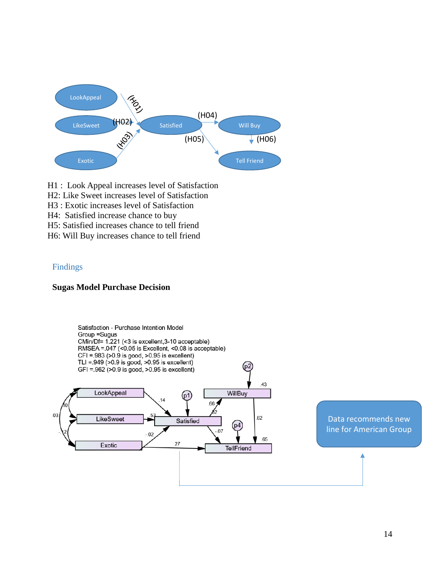![](_page_15_Figure_0.jpeg)

- H1 : Look Appeal increases level of Satisfaction
- H2: Like Sweet increases level of Satisfaction
- H3 : Exotic increases level of Satisfaction
- H4: Satisfied increase chance to buy
- H5: Satisfied increases chance to tell friend
- H6: Will Buy increases chance to tell friend

#### <span id="page-15-0"></span>Findings

#### **Sugas Model Purchase Decision**

![](_page_15_Figure_9.jpeg)

Data recommends new line for American Group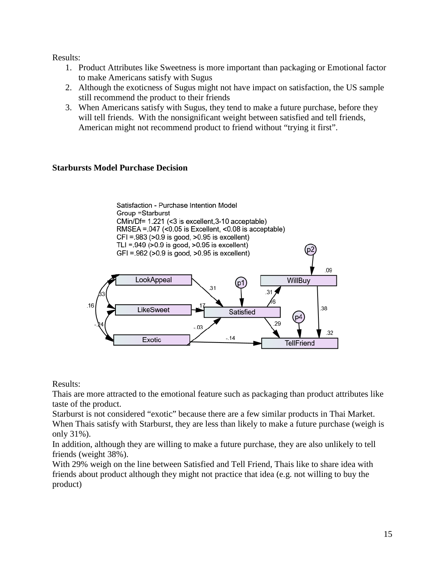Results:

- 1. Product Attributes like Sweetness is more important than packaging or Emotional factor to make Americans satisfy with Sugus
- 2. Although the exoticness of Sugus might not have impact on satisfaction, the US sample still recommend the product to their friends
- 3. When Americans satisfy with Sugus, they tend to make a future purchase, before they will tell friends. With the nonsignificant weight between satisfied and tell friends, American might not recommend product to friend without "trying it first".

## **Starbursts Model Purchase Decision**

![](_page_16_Figure_5.jpeg)

Results:

Thais are more attracted to the emotional feature such as packaging than product attributes like taste of the product.

Starburst is not considered "exotic" because there are a few similar products in Thai Market. When Thais satisfy with Starburst, they are less than likely to make a future purchase (weigh is only 31%).

In addition, although they are willing to make a future purchase, they are also unlikely to tell friends (weight 38%).

With 29% weigh on the line between Satisfied and Tell Friend, Thais like to share idea with friends about product although they might not practice that idea (e.g. not willing to buy the product)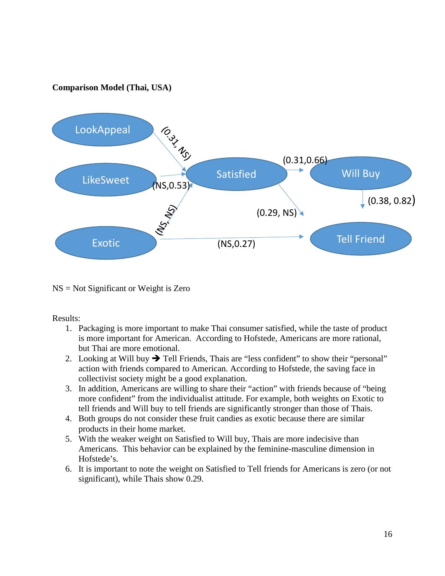## **Comparison Model (Thai, USA)**

![](_page_17_Figure_1.jpeg)

NS = Not Significant or Weight is Zero

Results:

- 1. Packaging is more important to make Thai consumer satisfied, while the taste of product is more important for American. According to Hofstede, Americans are more rational, but Thai are more emotional.
- 2. Looking at Will buy  $\rightarrow$  Tell Friends, Thais are "less confident" to show their "personal" action with friends compared to American. According to Hofstede, the saving face in collectivist society might be a good explanation.
- 3. In addition, Americans are willing to share their "action" with friends because of "being more confident" from the individualist attitude. For example, both weights on Exotic to tell friends and Will buy to tell friends are significantly stronger than those of Thais.
- 4. Both groups do not consider these fruit candies as exotic because there are similar products in their home market.
- 5. With the weaker weight on Satisfied to Will buy, Thais are more indecisive than Americans. This behavior can be explained by the feminine-masculine dimension in Hofstede's.
- 6. It is important to note the weight on Satisfied to Tell friends for Americans is zero (or not significant), while Thais show 0.29.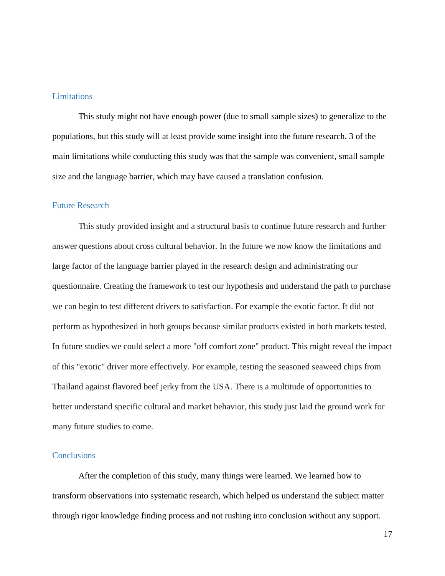#### <span id="page-18-0"></span>**Limitations**

This study might not have enough power (due to small sample sizes) to generalize to the populations, but this study will at least provide some insight into the future research. 3 of the main limitations while conducting this study was that the sample was convenient, small sample size and the language barrier, which may have caused a translation confusion.

#### <span id="page-18-1"></span>Future Research

This study provided insight and a structural basis to continue future research and further answer questions about cross cultural behavior. In the future we now know the limitations and large factor of the language barrier played in the research design and administrating our questionnaire. Creating the framework to test our hypothesis and understand the path to purchase we can begin to test different drivers to satisfaction. For example the exotic factor. It did not perform as hypothesized in both groups because similar products existed in both markets tested. In future studies we could select a more "off comfort zone" product. This might reveal the impact of this "exotic" driver more effectively. For example, testing the seasoned seaweed chips from Thailand against flavored beef jerky from the USA. There is a multitude of opportunities to better understand specific cultural and market behavior, this study just laid the ground work for many future studies to come.

#### <span id="page-18-2"></span>**Conclusions**

After the completion of this study, many things were learned. We learned how to transform observations into systematic research, which helped us understand the subject matter through rigor knowledge finding process and not rushing into conclusion without any support.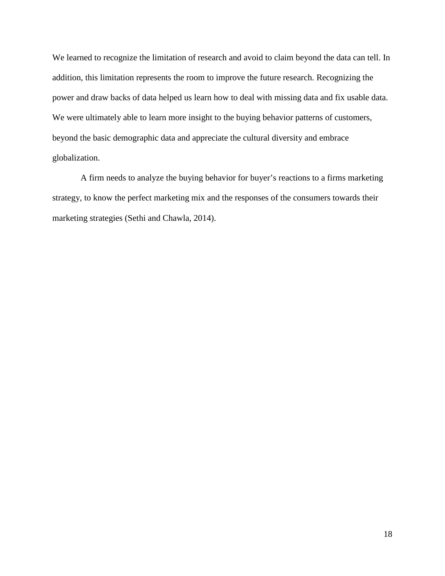We learned to recognize the limitation of research and avoid to claim beyond the data can tell. In addition, this limitation represents the room to improve the future research. Recognizing the power and draw backs of data helped us learn how to deal with missing data and fix usable data. We were ultimately able to learn more insight to the buying behavior patterns of customers, beyond the basic demographic data and appreciate the cultural diversity and embrace globalization.

A firm needs to analyze the buying behavior for buyer's reactions to a firms marketing strategy, to know the perfect marketing mix and the responses of the consumers towards their marketing strategies (Sethi and Chawla, 2014).